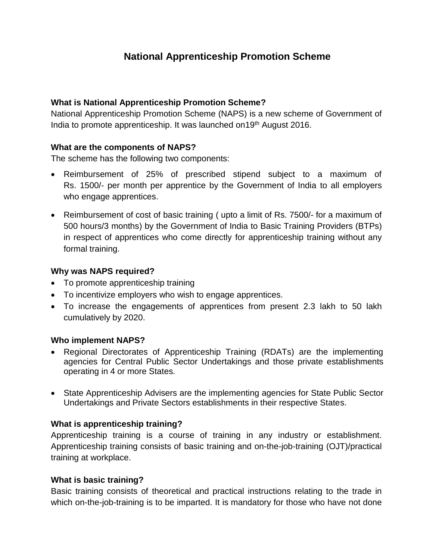# **National Apprenticeship Promotion Scheme**

### **What is National Apprenticeship Promotion Scheme?**

National Apprenticeship Promotion Scheme (NAPS) is a new scheme of Government of India to promote apprenticeship. It was launched on 19<sup>th</sup> August 2016.

#### **What are the components of NAPS?**

The scheme has the following two components:

- Reimbursement of 25% of prescribed stipend subject to a maximum of Rs. 1500/- per month per apprentice by the Government of India to all employers who engage apprentices.
- Reimbursement of cost of basic training (upto a limit of Rs. 7500/- for a maximum of 500 hours/3 months) by the Government of India to Basic Training Providers (BTPs) in respect of apprentices who come directly for apprenticeship training without any formal training.

#### **Why was NAPS required?**

- To promote apprenticeship training
- To incentivize employers who wish to engage apprentices.
- To increase the engagements of apprentices from present 2.3 lakh to 50 lakh cumulatively by 2020.

# **Who implement NAPS?**

- Regional Directorates of Apprenticeship Training (RDATs) are the implementing agencies for Central Public Sector Undertakings and those private establishments operating in 4 or more States.
- State Apprenticeship Advisers are the implementing agencies for State Public Sector Undertakings and Private Sectors establishments in their respective States.

# **What is apprenticeship training?**

Apprenticeship training is a course of training in any industry or establishment. Apprenticeship training consists of basic training and on-the-job-training (OJT)/practical training at workplace.

#### **What is basic training?**

Basic training consists of theoretical and practical instructions relating to the trade in which on-the-job-training is to be imparted. It is mandatory for those who have not done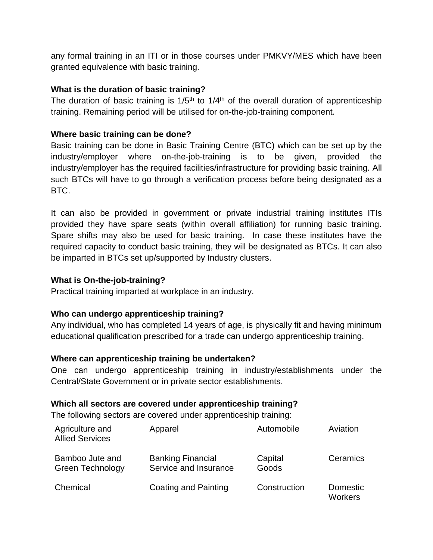any formal training in an ITI or in those courses under PMKVY/MES which have been granted equivalence with basic training.

#### **What is the duration of basic training?**

The duration of basic training is  $1/5<sup>th</sup>$  to  $1/4<sup>th</sup>$  of the overall duration of apprenticeship training. Remaining period will be utilised for on-the-job-training component.

### **Where basic training can be done?**

Basic training can be done in Basic Training Centre (BTC) which can be set up by the industry/employer where on-the-job-training is to be given, provided the industry/employer has the required facilities/infrastructure for providing basic training. All such BTCs will have to go through a verification process before being designated as a BTC.

It can also be provided in government or private industrial training institutes ITIs provided they have spare seats (within overall affiliation) for running basic training. Spare shifts may also be used for basic training. In case these institutes have the required capacity to conduct basic training, they will be designated as BTCs. It can also be imparted in BTCs set up/supported by Industry clusters.

### **What is On-the-job-training?**

Practical training imparted at workplace in an industry.

# **Who can undergo apprenticeship training?**

Any individual, who has completed 14 years of age, is physically fit and having minimum educational qualification prescribed for a trade can undergo apprenticeship training.

#### **Where can apprenticeship training be undertaken?**

One can undergo apprenticeship training in industry/establishments under the Central/State Government or in private sector establishments.

#### **Which all sectors are covered under apprenticeship training?**

The following sectors are covered under apprenticeship training:

| Agriculture and<br><b>Allied Services</b>  | Apparel                                           | Automobile       | Aviation                   |
|--------------------------------------------|---------------------------------------------------|------------------|----------------------------|
| Bamboo Jute and<br><b>Green Technology</b> | <b>Banking Financial</b><br>Service and Insurance | Capital<br>Goods | Ceramics                   |
| Chemical                                   | Coating and Painting                              | Construction     | Domestic<br><b>Workers</b> |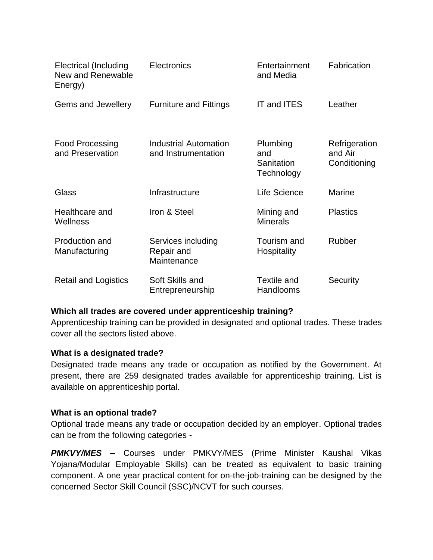| <b>Electrical (Including</b><br>New and Renewable<br>Energy) | Electronics                                         | Entertainment<br>and Media                  | Fabrication                              |
|--------------------------------------------------------------|-----------------------------------------------------|---------------------------------------------|------------------------------------------|
| Gems and Jewellery                                           | <b>Furniture and Fittings</b>                       | <b>IT and ITES</b>                          | Leather                                  |
| <b>Food Processing</b><br>and Preservation                   | <b>Industrial Automation</b><br>and Instrumentation | Plumbing<br>and<br>Sanitation<br>Technology | Refrigeration<br>and Air<br>Conditioning |
| Glass                                                        | Infrastructure                                      | Life Science                                | <b>Marine</b>                            |
| Healthcare and<br>Wellness                                   | Iron & Steel                                        | Mining and<br><b>Minerals</b>               | <b>Plastics</b>                          |
| Production and<br>Manufacturing                              | Services including<br>Repair and<br>Maintenance     | Tourism and<br><b>Hospitality</b>           | Rubber                                   |
| <b>Retail and Logistics</b>                                  | Soft Skills and<br>Entrepreneurship                 | Textile and<br>Handlooms                    | Security                                 |

#### **Which all trades are covered under apprenticeship training?**

Apprenticeship training can be provided in designated and optional trades. These trades cover all the sectors listed above.

#### **What is a designated trade?**

Designated trade means any trade or occupation as notified by the Government. At present, there are 259 designated trades available for apprenticeship training. List is available on apprenticeship portal.

#### **What is an optional trade?**

Optional trade means any trade or occupation decided by an employer. Optional trades can be from the following categories -

*PMKVY/MES –* Courses under PMKVY/MES (Prime Minister Kaushal Vikas Yojana/Modular Employable Skills) can be treated as equivalent to basic training component. A one year practical content for on-the-job-training can be designed by the concerned Sector Skill Council (SSC)/NCVT for such courses.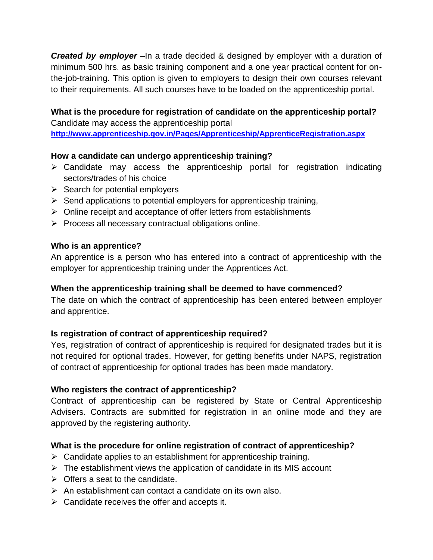**Created by employer** – In a trade decided & designed by employer with a duration of minimum 500 hrs. as basic training component and a one year practical content for onthe-job-training. This option is given to employers to design their own courses relevant to their requirements. All such courses have to be loaded on the apprenticeship portal.

# **What is the procedure for registration of candidate on the apprenticeship portal?** Candidate may access the apprenticeship portal

**<http://www.apprenticeship.gov.in/Pages/Apprenticeship/ApprenticeRegistration.aspx>**

# **How a candidate can undergo apprenticeship training?**

- $\triangleright$  Candidate may access the apprenticeship portal for registration indicating sectors/trades of his choice
- $\triangleright$  Search for potential employers
- $\triangleright$  Send applications to potential employers for apprenticeship training,
- $\triangleright$  Online receipt and acceptance of offer letters from establishments
- $\triangleright$  Process all necessary contractual obligations online.

# **Who is an apprentice?**

An apprentice is a person who has entered into a contract of apprenticeship with the employer for apprenticeship training under the Apprentices Act.

# **When the apprenticeship training shall be deemed to have commenced?**

The date on which the contract of apprenticeship has been entered between employer and apprentice.

# **Is registration of contract of apprenticeship required?**

Yes, registration of contract of apprenticeship is required for designated trades but it is not required for optional trades. However, for getting benefits under NAPS, registration of contract of apprenticeship for optional trades has been made mandatory.

# **Who registers the contract of apprenticeship?**

Contract of apprenticeship can be registered by State or Central Apprenticeship Advisers. Contracts are submitted for registration in an online mode and they are approved by the registering authority.

# **What is the procedure for online registration of contract of apprenticeship?**

- $\triangleright$  Candidate applies to an establishment for apprenticeship training.
- $\triangleright$  The establishment views the application of candidate in its MIS account
- $\triangleright$  Offers a seat to the candidate.
- $\triangleright$  An establishment can contact a candidate on its own also.
- $\triangleright$  Candidate receives the offer and accepts it.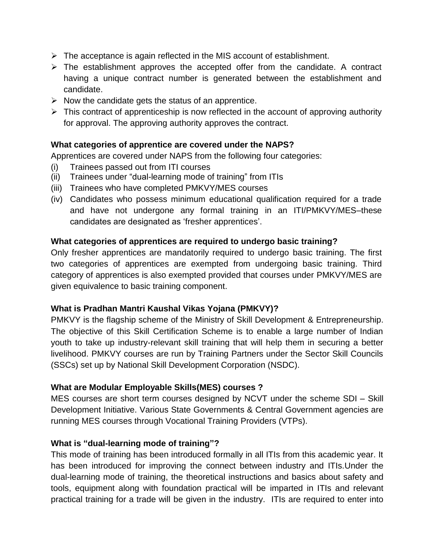- $\triangleright$  The acceptance is again reflected in the MIS account of establishment.
- $\triangleright$  The establishment approves the accepted offer from the candidate. A contract having a unique contract number is generated between the establishment and candidate.
- $\triangleright$  Now the candidate gets the status of an apprentice.
- $\triangleright$  This contract of apprenticeship is now reflected in the account of approving authority for approval. The approving authority approves the contract.

#### **What categories of apprentice are covered under the NAPS?**

Apprentices are covered under NAPS from the following four categories:

- (i) Trainees passed out from ITI courses
- (ii) Trainees under "dual-learning mode of training" from ITIs
- (iii) Trainees who have completed PMKVY/MES courses
- (iv) Candidates who possess minimum educational qualification required for a trade and have not undergone any formal training in an ITI/PMKVY/MES–these candidates are designated as 'fresher apprentices'.

#### **What categories of apprentices are required to undergo basic training?**

Only fresher apprentices are mandatorily required to undergo basic training. The first two categories of apprentices are exempted from undergoing basic training. Third category of apprentices is also exempted provided that courses under PMKVY/MES are given equivalence to basic training component.

# **What is Pradhan Mantri Kaushal Vikas Yojana (PMKVY)?**

PMKVY is the flagship scheme of the Ministry of Skill Development & Entrepreneurship. The objective of this Skill Certification Scheme is to enable a large number of Indian youth to take up industry-relevant skill training that will help them in securing a better livelihood. PMKVY courses are run by Training Partners under the Sector Skill Councils (SSCs) set up by National Skill Development Corporation (NSDC).

# **What are Modular Employable Skills(MES) courses ?**

MES courses are short term courses designed by NCVT under the scheme SDI – Skill Development Initiative. Various State Governments & Central Government agencies are running MES courses through Vocational Training Providers (VTPs).

#### **What is "dual-learning mode of training"?**

This mode of training has been introduced formally in all ITIs from this academic year. It has been introduced for improving the connect between industry and ITIs.Under the dual-learning mode of training, the theoretical instructions and basics about safety and tools, equipment along with foundation practical will be imparted in ITIs and relevant practical training for a trade will be given in the industry. ITIs are required to enter into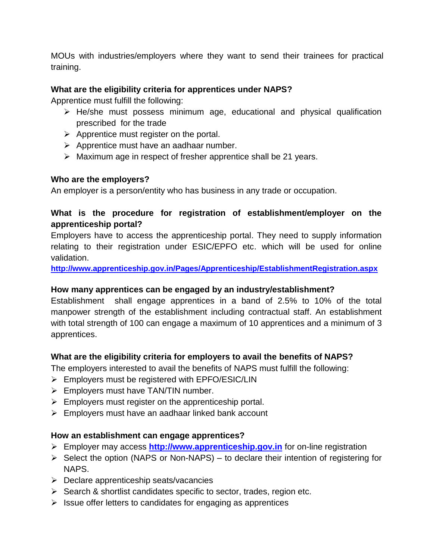MOUs with industries/employers where they want to send their trainees for practical training.

# **What are the eligibility criteria for apprentices under NAPS?**

Apprentice must fulfill the following:

- $\triangleright$  He/she must possess minimum age, educational and physical qualification prescribed for the trade
- $\triangleright$  Apprentice must register on the portal.
- $\triangleright$  Apprentice must have an aadhaar number.
- $\triangleright$  Maximum age in respect of fresher apprentice shall be 21 years.

# **Who are the employers?**

An employer is a person/entity who has business in any trade or occupation.

# **What is the procedure for registration of establishment/employer on the apprenticeship portal?**

Employers have to access the apprenticeship portal. They need to supply information relating to their registration under ESIC/EPFO etc. which will be used for online validation.

**<http://www.apprenticeship.gov.in/Pages/Apprenticeship/EstablishmentRegistration.aspx>**

# **How many apprentices can be engaged by an industry/establishment?**

Establishment shall engage apprentices in a band of 2.5% to 10% of the total manpower strength of the establishment including contractual staff. An establishment with total strength of 100 can engage a maximum of 10 apprentices and a minimum of 3 apprentices.

# **What are the eligibility criteria for employers to avail the benefits of NAPS?**

The employers interested to avail the benefits of NAPS must fulfill the following:

- $\triangleright$  Employers must be registered with EPFO/ESIC/LIN
- $\triangleright$  Employers must have TAN/TIN number.
- $\triangleright$  Employers must register on the apprenticeship portal.
- $\triangleright$  Employers must have an aadhaar linked bank account

# **How an establishment can engage apprentices?**

- Employer may access **[http://www.apprenticeship.gov.in](http://www.apprenticeship.gov.in/)** for on-line registration
- $\triangleright$  Select the option (NAPS or Non-NAPS) to declare their intention of registering for NAPS.
- $\triangleright$  Declare apprenticeship seats/vacancies
- $\triangleright$  Search & shortlist candidates specific to sector, trades, region etc.
- $\triangleright$  Issue offer letters to candidates for engaging as apprentices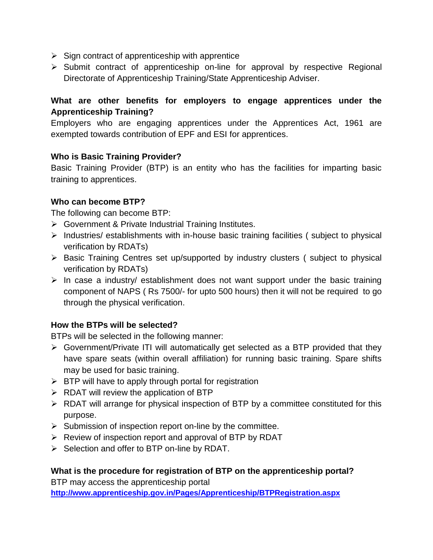- $\triangleright$  Sign contract of apprenticeship with apprentice
- $\triangleright$  Submit contract of apprenticeship on-line for approval by respective Regional Directorate of Apprenticeship Training/State Apprenticeship Adviser.

# **What are other benefits for employers to engage apprentices under the Apprenticeship Training?**

Employers who are engaging apprentices under the Apprentices Act, 1961 are exempted towards contribution of EPF and ESI for apprentices.

# **Who is Basic Training Provider?**

Basic Training Provider (BTP) is an entity who has the facilities for imparting basic training to apprentices.

# **Who can become BTP?**

The following can become BTP:

- Government & Private Industrial Training Institutes.
- $\triangleright$  Industries/ establishments with in-house basic training facilities ( subject to physical verification by RDATs)
- $\triangleright$  Basic Training Centres set up/supported by industry clusters (subject to physical verification by RDATs)
- $\triangleright$  In case a industry/ establishment does not want support under the basic training component of NAPS ( Rs 7500/- for upto 500 hours) then it will not be required to go through the physical verification.

# **How the BTPs will be selected?**

BTPs will be selected in the following manner:

- Government/Private ITI will automatically get selected as a BTP provided that they have spare seats (within overall affiliation) for running basic training. Spare shifts may be used for basic training.
- $\triangleright$  BTP will have to apply through portal for registration
- $\triangleright$  RDAT will review the application of BTP
- $\triangleright$  RDAT will arrange for physical inspection of BTP by a committee constituted for this purpose.
- $\triangleright$  Submission of inspection report on-line by the committee.
- $\triangleright$  Review of inspection report and approval of BTP by RDAT
- $\triangleright$  Selection and offer to BTP on-line by RDAT.

# **What is the procedure for registration of BTP on the apprenticeship portal?**

BTP may access the apprenticeship portal **[http://www.apprenticeship.gov.in/Pages/Apprenticeship/BTPRegistration.aspx](http://www.apprenticeship.gov.in/Pages/Apprenticeship/EstablishmentRegistration.aspx)**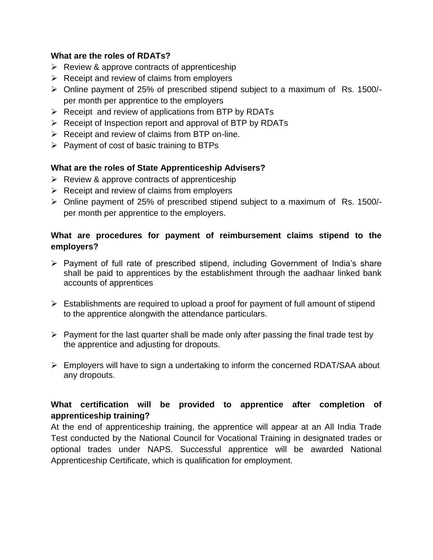#### **What are the roles of RDATs?**

- $\triangleright$  Review & approve contracts of apprenticeship
- $\triangleright$  Receipt and review of claims from employers
- Online payment of 25% of prescribed stipend subject to a maximum of Rs. 1500/ per month per apprentice to the employers
- $\triangleright$  Receipt and review of applications from BTP by RDATs
- $\triangleright$  Receipt of Inspection report and approval of BTP by RDATs
- $\triangleright$  Receipt and review of claims from BTP on-line.
- $\triangleright$  Payment of cost of basic training to BTPs

# **What are the roles of State Apprenticeship Advisers?**

- $\triangleright$  Review & approve contracts of apprenticeship
- $\triangleright$  Receipt and review of claims from employers
- Online payment of 25% of prescribed stipend subject to a maximum of Rs. 1500/ per month per apprentice to the employers.

# **What are procedures for payment of reimbursement claims stipend to the employers?**

- $\triangleright$  Payment of full rate of prescribed stipend, including Government of India's share shall be paid to apprentices by the establishment through the aadhaar linked bank accounts of apprentices
- $\triangleright$  Establishments are required to upload a proof for payment of full amount of stipend to the apprentice alongwith the attendance particulars.
- $\triangleright$  Payment for the last quarter shall be made only after passing the final trade test by the apprentice and adjusting for dropouts.
- $\triangleright$  Employers will have to sign a undertaking to inform the concerned RDAT/SAA about any dropouts.

# **What certification will be provided to apprentice after completion of apprenticeship training?**

At the end of apprenticeship training, the apprentice will appear at an All India Trade Test conducted by the National Council for Vocational Training in designated trades or optional trades under NAPS. Successful apprentice will be awarded National Apprenticeship Certificate, which is qualification for employment.